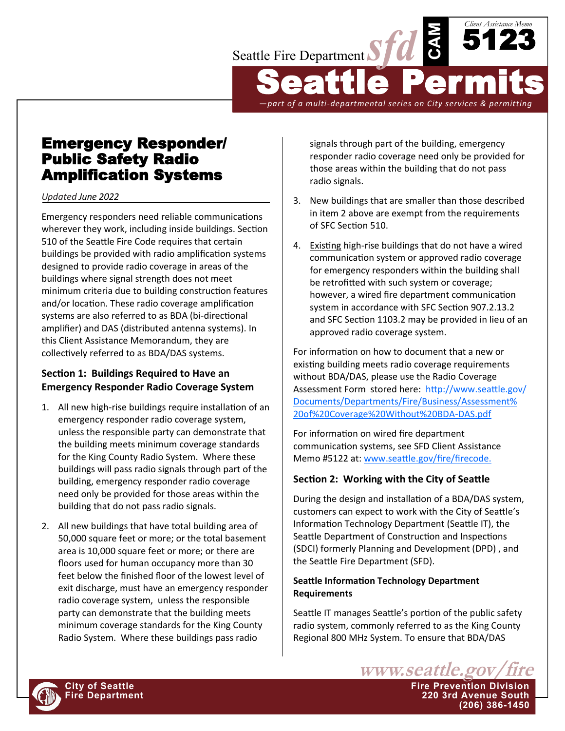

*—part of a multi-departmental series on City services & permitting*

Emergency Responder/ Public Safety Radio Amplification Systems

*Updated June 2022*

Emergency responders need reliable communications wherever they work, including inside buildings. Section 510 of the Seattle Fire Code requires that certain buildings be provided with radio amplification systems designed to provide radio coverage in areas of the buildings where signal strength does not meet minimum criteria due to building construction features and/or location. These radio coverage amplification systems are also referred to as BDA (bi-directional amplifier) and DAS (distributed antenna systems). In this Client Assistance Memorandum, they are collectively referred to as BDA/DAS systems.

## **Section 1: Buildings Required to Have an Emergency Responder Radio Coverage System**

- 1. All new high-rise buildings require installation of an emergency responder radio coverage system, unless the responsible party can demonstrate that the building meets minimum coverage standards for the King County Radio System. Where these buildings will pass radio signals through part of the building, emergency responder radio coverage need only be provided for those areas within the building that do not pass radio signals.
- 2. All new buildings that have total building area of 50,000 square feet or more; or the total basement area is 10,000 square feet or more; or there are floors used for human occupancy more than 30 feet below the finished floor of the lowest level of exit discharge, must have an emergency responder radio coverage system, unless the responsible party can demonstrate that the building meets minimum coverage standards for the King County Radio System. Where these buildings pass radio

signals through part of the building, emergency responder radio coverage need only be provided for those areas within the building that do not pass radio signals.

- 3. New buildings that are smaller than those described in item 2 above are exempt from the requirements of SFC Section 510.
- 4. Existing high-rise buildings that do not have a wired communication system or approved radio coverage for emergency responders within the building shall be retrofitted with such system or coverage; however, a wired fire department communication system in accordance with SFC Section 907.2.13.2 and SFC Section 1103.2 may be provided in lieu of an approved radio coverage system.

For information on how to document that a new or existing building meets radio coverage requirements without BDA/DAS, please use the Radio Coverage Assessment Form stored here: [http://www.seattle.gov/](http://www.seattle.gov/Documents/Departments/Fire/Business/Assessment%20of%20Coverage%20Without%20BDA-DAS.pdf) [Documents/Departments/Fire/Business/Assessment%](http://www.seattle.gov/Documents/Departments/Fire/Business/Assessment%20of%20Coverage%20Without%20BDA-DAS.pdf) [20of%20Coverage%20Without%20BDA](http://www.seattle.gov/Documents/Departments/Fire/Business/Assessment%20of%20Coverage%20Without%20BDA-DAS.pdf)-DAS.pdf

For information on wired fire department communication systems, see SFD Client Assistance Memo #5122 at: [www.seattle.gov/fire/firecode.](http://www.seattle.gov/fire/firecode)

# **Section 2: Working with the City of Seattle**

During the design and installation of a BDA/DAS system, customers can expect to work with the City of Seattle's Information Technology Department (Seattle IT), the Seattle Department of Construction and Inspections (SDCI) formerly Planning and Development (DPD) , and the Seattle Fire Department (SFD).

### **Seattle Information Technology Department Requirements**

Seattle IT manages Seattle's portion of the public safety radio system, commonly referred to as the King County Regional 800 MHz System. To ensure that BDA/DAS



**(206) 386-1450**

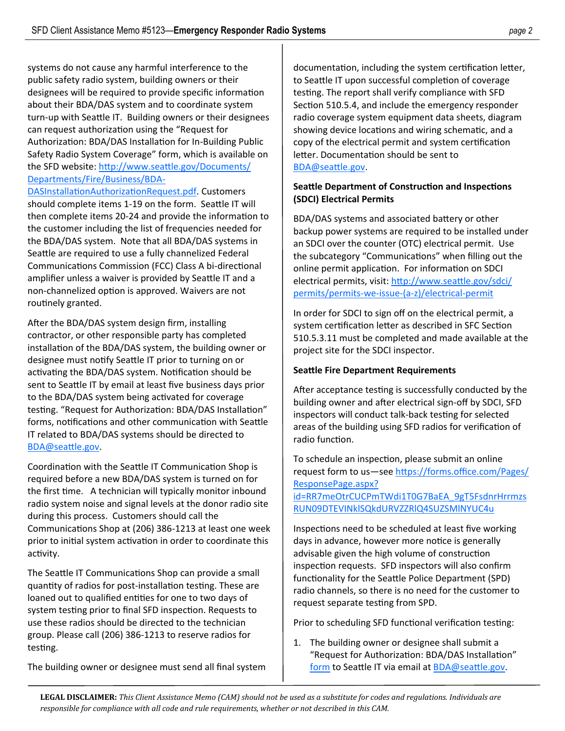systems do not cause any harmful interference to the public safety radio system, building owners or their designees will be required to provide specific information about their BDA/DAS system and to coordinate system turn-up with Seattle IT. Building owners or their designees can request authorization using the "Request for Authorization: BDA/DAS Installation for In-Building Public Safety Radio System Coverage" form, which is available on the SFD website: [http://www.seattle.gov/Documents/](http://www.seattle.gov/Documents/Departments/Fire/Business/BDA_DAS_Installation_Authorization_Request.pdf) [Departments/Fire/Business/BDA](http://www.seattle.gov/Documents/Departments/Fire/Business/BDA_DAS_Installation_Authorization_Request.pdf)-

[DASInstallationAuthorizationRequest.pdf.](http://www.seattle.gov/Documents/Departments/Fire/Business/BDA_DAS_Installation_Authorization_Request.pdf) Customers should complete items 1-19 on the form. Seattle IT will then complete items 20-24 and provide the information to the customer including the list of frequencies needed for the BDA/DAS system. Note that all BDA/DAS systems in Seattle are required to use a fully channelized Federal Communications Commission (FCC) Class A bi-directional amplifier unless a waiver is provided by Seattle IT and a non-channelized option is approved. Waivers are not routinely granted.

After the BDA/DAS system design firm, installing contractor, or other responsible party has completed installation of the BDA/DAS system, the building owner or designee must notify Seattle IT prior to turning on or activating the BDA/DAS system. Notification should be sent to Seattle IT by email at least five business days prior to the BDA/DAS system being activated for coverage testing. "Request for Authorization: BDA/DAS Installation" forms, notifications and other communication with Seattle IT related to BDA/DAS systems should be directed to [BDA@seattle.gov.](mailto:BDA@seattle.gov)

Coordination with the Seattle IT Communication Shop is required before a new BDA/DAS system is turned on for the first time. A technician will typically monitor inbound radio system noise and signal levels at the donor radio site during this process. Customers should call the Communications Shop at (206) 386-1213 at least one week prior to initial system activation in order to coordinate this activity.

The Seattle IT Communications Shop can provide a small quantity of radios for post-installation testing. These are loaned out to qualified entities for one to two days of system testing prior to final SFD inspection. Requests to use these radios should be directed to the technician group. Please call (206) 386-1213 to reserve radios for testing.

The building owner or designee must send all final system

documentation, including the system certification letter, to Seattle IT upon successful completion of coverage testing. The report shall verify compliance with SFD Section 510.5.4, and include the emergency responder radio coverage system equipment data sheets, diagram showing device locations and wiring schematic, and a copy of the electrical permit and system certification letter. Documentation should be sent to [BDA@seattle.gov.](mailto:BDA@seattle.gov)

### **Seattle Department of Construction and Inspections (SDCI) Electrical Permits**

BDA/DAS systems and associated battery or other backup power systems are required to be installed under an SDCI over the counter (OTC) electrical permit. Use the subcategory "Communications" when filling out the online permit application. For information on SDCI electrical permits, visit: [http://www.seattle.gov/sdci/](http://www.seattle.gov/sdci/permits/permits-we-issue-(a-z)/electrical-permit) [permits/permits](http://www.seattle.gov/sdci/permits/permits-we-issue-(a-z)/electrical-permit)-we-issue-(a-z)/electrical-permit

In order for SDCI to sign off on the electrical permit, a system certification letter as described in SFC Section 510.5.3.11 must be completed and made available at the project site for the SDCI inspector.

### **Seattle Fire Department Requirements**

After acceptance testing is successfully conducted by the building owner and after electrical sign-off by SDCI, SFD inspectors will conduct talk-back testing for selected areas of the building using SFD radios for verification of radio function.

To schedule an inspection, please submit an online request form to us-see [https://forms.office.com/Pages/](https://forms.office.com/Pages/ResponsePage.aspx?id=RR7meOtrCUCPmTWdi1T0G7BaEA_9gT5FsdnrHrrmzsRUN09DTEVINklSQkdURVZZRlQ4SUZSMlNYUC4u) [ResponsePage.aspx?](https://forms.office.com/Pages/ResponsePage.aspx?id=RR7meOtrCUCPmTWdi1T0G7BaEA_9gT5FsdnrHrrmzsRUN09DTEVINklSQkdURVZZRlQ4SUZSMlNYUC4u)

[id=RR7meOtrCUCPmTWdi1T0G7BaEA\\_9gT5FsdnrHrrmzs](https://forms.office.com/Pages/ResponsePage.aspx?id=RR7meOtrCUCPmTWdi1T0G7BaEA_9gT5FsdnrHrrmzsRUN09DTEVINklSQkdURVZZRlQ4SUZSMlNYUC4u) [RUN09DTEVINklSQkdURVZZRlQ4SUZSMlNYUC4u](https://forms.office.com/Pages/ResponsePage.aspx?id=RR7meOtrCUCPmTWdi1T0G7BaEA_9gT5FsdnrHrrmzsRUN09DTEVINklSQkdURVZZRlQ4SUZSMlNYUC4u)

Inspections need to be scheduled at least five working days in advance, however more notice is generally advisable given the high volume of construction inspection requests.SFD inspectors will also confirm functionality for the Seattle Police Department (SPD) radio channels, so there is no need for the customer to request separate testing from SPD.

Prior to scheduling SFD functional verification testing:

1. The building owner or designee shall submit a "Request for Authorization: BDA/DAS Installation" [form](http://www.seattle.gov/Documents/Departments/Fire/Business/BDA_DAS_Installation_Authorization_Request.pdf) to Seattle IT via email at [BDA@seattle.gov.](mailto:BDA@seattle.gov)

**LEGAL DISCLAIMER:** *This Client Assistance Memo (CAM) should not be used as a substitute for codes and regulations. Individuals are responsible for compliance with all code and rule requirements, whether or not described in this CAM.*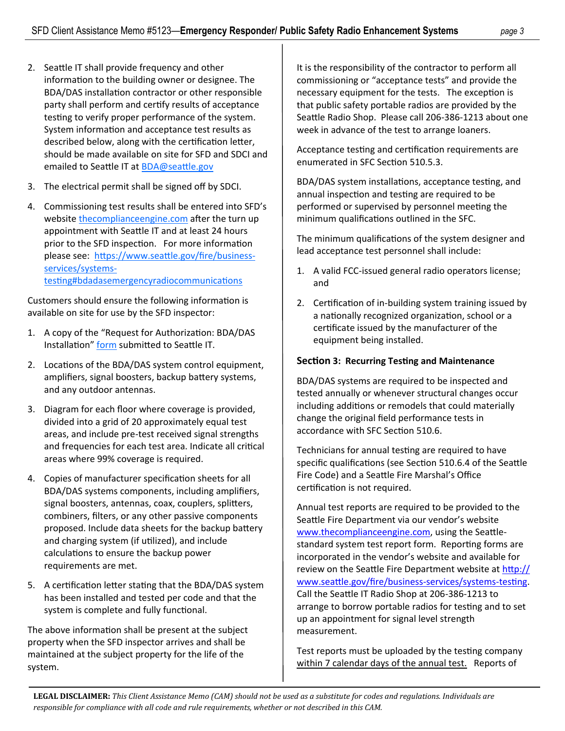- 2. Seattle IT shall provide frequency and other information to the building owner or designee. The BDA/DAS installation contractor or other responsible party shall perform and certify results of acceptance testing to verify proper performance of the system. System information and acceptance test results as described below, along with the certification letter, should be made available on site for SFD and SDCI and emailed to Seattle IT at [BDA@seattle.gov](mailto:BDA@seattle.gov)
- 3. The electrical permit shall be signed off by SDCI.
- 4. Commissioning test results shall be entered into SFD's website<thecomplianceengine.com> after the turn up appointment with Seattle IT and at least 24 hours prior to the SFD inspection. For more information please see: [https://www.seattle.gov/fire/business](https://www.seattle.gov/fire/business-services/systems-testing#bdadasemergencyradiocommunications)[services/systems](https://www.seattle.gov/fire/business-services/systems-testing#bdadasemergencyradiocommunications)[testing#bdadasemergencyradiocommunications](https://www.seattle.gov/fire/business-services/systems-testing#bdadasemergencyradiocommunications)

Customers should ensure the following information is available on site for use by the SFD inspector:

- 1. A copy of the "Request for Authorization: BDA/DAS Installation" [form](http://www.seattle.gov/Documents/Departments/Fire/Business/BDA_DAS_Installation_Authorization_Request.pdf) submitted to Seattle IT.
- 2. Locations of the BDA/DAS system control equipment, amplifiers, signal boosters, backup battery systems, and any outdoor antennas.
- 3. Diagram for each floor where coverage is provided, divided into a grid of 20 approximately equal test areas, and include pre-test received signal strengths and frequencies for each test area. Indicate all critical areas where 99% coverage is required.
- 4. Copies of manufacturer specification sheets for all BDA/DAS systems components, including amplifiers, signal boosters, antennas, coax, couplers, splitters, combiners, filters, or any other passive components proposed. Include data sheets for the backup battery and charging system (if utilized), and include calculations to ensure the backup power requirements are met.
- 5. A certification letter stating that the BDA/DAS system has been installed and tested per code and that the system is complete and fully functional.

The above information shall be present at the subject property when the SFD inspector arrives and shall be maintained at the subject property for the life of the system.

It is the responsibility of the contractor to perform all commissioning or "acceptance tests" and provide the necessary equipment for the tests. The exception is that public safety portable radios are provided by the Seattle Radio Shop. Please call 206-386-1213 about one week in advance of the test to arrange loaners.

Acceptance testing and certification requirements are enumerated in SFC Section 510.5.3.

BDA/DAS system installations, acceptance testing, and annual inspection and testing are required to be performed or supervised by personnel meeting the minimum qualifications outlined in the SFC.

The minimum qualifications of the system designer and lead acceptance test personnel shall include:

- 1. A valid FCC-issued general radio operators license; and
- 2. Certification of in-building system training issued by a nationally recognized organization, school or a certificate issued by the manufacturer of the equipment being installed.

### **Section 3: Recurring Testing and Maintenance**

BDA/DAS systems are required to be inspected and tested annually or whenever structural changes occur including additions or remodels that could materially change the original field performance tests in accordance with SFC Section 510.6.

Technicians for annual testing are required to have specific qualifications (see Section 510.6.4 of the Seattle Fire Code) and a Seattle Fire Marshal's Office certification is not required.

Annual test reports are required to be provided to the Seattle Fire Department via our vendor's website [www.thecomplianceengine.com,](http://www.thecomplianceengine.com) using the Seattlestandard system test report form. Reporting forms are incorporated in the vendor's website and available for review on the Seattle Fire Department website at [http://](http://www.seattle.gov/fire/business-services/systems-testing) [www.seattle.gov/fire/business](http://www.seattle.gov/fire/business-services/systems-testing)-services/systems-testing. Call the Seattle IT Radio Shop at 206-386-1213 to arrange to borrow portable radios for testing and to set up an appointment for signal level strength measurement.

Test reports must be uploaded by the testing company within 7 calendar days of the annual test. Reports of

**LEGAL DISCLAIMER:** *This Client Assistance Memo (CAM) should not be used as a substitute for codes and regulations. Individuals are responsible for compliance with all code and rule requirements, whether or not described in this CAM.*